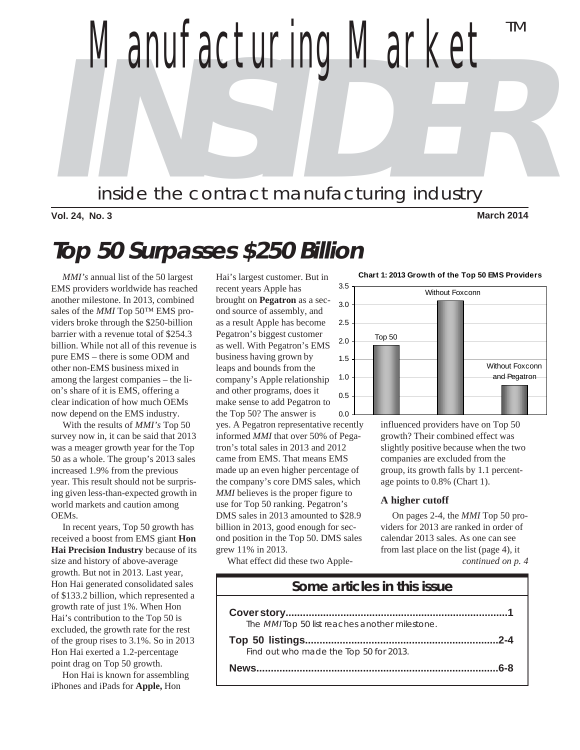

**Vol. 24, No. 3 March 2014**

# **Top 50 Surpasses \$250 Billion**

 *MMI's* annual list of the 50 largest EMS providers worldwide has reached another milestone. In 2013, combined sales of the *MMI* Top 50™ EMS providers broke through the \$250-billion barrier with a revenue total of \$254.3 billion. While not all of this revenue is pure EMS – there is some ODM and other non-EMS business mixed in among the largest companies – the lion's share of it is EMS, offering a clear indication of how much OEMs now depend on the EMS industry.

 With the results of *MMI's* Top 50 survey now in, it can be said that 2013 was a meager growth year for the Top 50 as a whole. The group's 2013 sales increased 1.9% from the previous year. This result should not be surprising given less-than-expected growth in world markets and caution among OEMs.

 In recent years, Top 50 growth has received a boost from EMS giant **Hon Hai Precision Industry** because of its size and history of above-average growth. But not in 2013. Last year, Hon Hai generated consolidated sales of \$133.2 billion, which represented a growth rate of just 1%. When Hon Hai's contribution to the Top 50 is excluded, the growth rate for the rest of the group rises to 3.1%. So in 2013 Hon Hai exerted a 1.2-percentage point drag on Top 50 growth.

 Hon Hai is known for assembling iPhones and iPads for **Apple,** Hon

Hai's largest customer. But in recent years Apple has brought on **Pegatron** as a second source of assembly, and as a result Apple has become Pegatron's biggest customer as well. With Pegatron's EMS business having grown by leaps and bounds from the company's Apple relationship and other programs, does it make sense to add Pegatron to the Top 50? The answer is

yes. A Pegatron representative recently informed *MMI* that over 50% of Pegatron's total sales in 2013 and 2012 came from EMS. That means EMS made up an even higher percentage of the company's core DMS sales, which *MMI* believes is the proper figure to use for Top 50 ranking. Pegatron's DMS sales in 2013 amounted to \$28.9 billion in 2013, good enough for second position in the Top 50. DMS sales grew 11% in 2013.

What effect did these two Apple-



**Chart 1: 2013 Growth of the Top 50 EMS Providers**

influenced providers have on Top 50 growth? Their combined effect was slightly positive because when the two companies are excluded from the group, its growth falls by 1.1 percentage points to 0.8% (Chart 1).

#### **A higher cutoff**

*continued on p. 4* On pages 2-4, the *MMI* Top 50 providers for 2013 are ranked in order of calendar 2013 sales. As one can see from last place on the list (page 4), it

| Some articles in this issue                           |
|-------------------------------------------------------|
|                                                       |
| The <i>MMI</i> Top 50 list reaches another milestone. |
| $2 - 4$                                               |
| Find out who made the Top 50 for 2013.                |
| ุ ค.ศ                                                 |
|                                                       |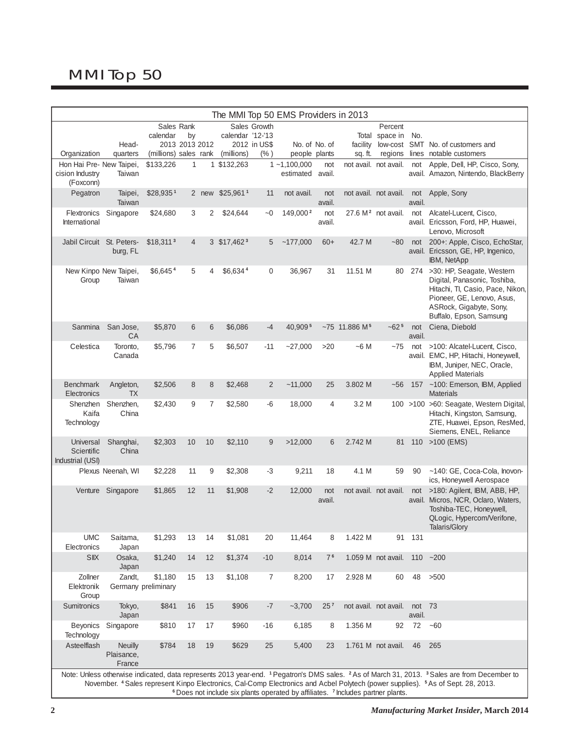# MMI Top 50

| The MMI Top 50 EMS Providers in 2013        |                                 |                                |                      |                |                             |                |                              |                 |                                                                                                        |                                |                  |                                                                                                                                                                                                                                                                                                                               |
|---------------------------------------------|---------------------------------|--------------------------------|----------------------|----------------|-----------------------------|----------------|------------------------------|-----------------|--------------------------------------------------------------------------------------------------------|--------------------------------|------------------|-------------------------------------------------------------------------------------------------------------------------------------------------------------------------------------------------------------------------------------------------------------------------------------------------------------------------------|
|                                             |                                 | Sales Rank                     |                      |                |                             | Sales Growth   |                              |                 |                                                                                                        | Percent                        |                  |                                                                                                                                                                                                                                                                                                                               |
|                                             | Head-                           | calendar                       | by<br>2013 2013 2012 |                | calendar '12-'13            | 2012 in US\$   | No. of No. of                |                 |                                                                                                        | Total space in No.             |                  | facility low-cost SMT No. of customers and                                                                                                                                                                                                                                                                                    |
| Organization                                | quarters                        | (millions) sales rank          |                      |                | (millions)                  | (% )           | people plants                |                 | sq. ft.                                                                                                | regions                        |                  | lines notable customers                                                                                                                                                                                                                                                                                                       |
| Hon Hai Pre- New Taipei,<br>cision Industry | Taiwan                          | \$133,226                      | 1                    | 1              | \$132,263                   |                | $1 - 1,100,000$<br>estimated | not<br>avail.   |                                                                                                        | not avail. not avail.          | not              | Apple, Dell, HP, Cisco, Sony,<br>avail. Amazon, Nintendo, BlackBerry                                                                                                                                                                                                                                                          |
| (Foxconn)<br>Pegatron                       | Taipei,<br>Taiwan               | \$28,9351                      |                      |                | 2 new \$25,961 <sup>1</sup> | 11             | not avail.                   | not<br>avail.   |                                                                                                        | not avail. not avail.          | not<br>avail.    | Apple, Sony                                                                                                                                                                                                                                                                                                                   |
| Flextronics                                 | Singapore                       | \$24,680                       | 3                    | 2              | \$24,644                    | $-0$           | 149,000 <sup>2</sup>         | not             |                                                                                                        | 27.6 M <sup>2</sup> not avail. |                  | not Alcatel-Lucent, Cisco,                                                                                                                                                                                                                                                                                                    |
| International                               |                                 |                                |                      |                |                             |                |                              | avail.          |                                                                                                        |                                |                  | avail. Ericsson, Ford, HP, Huawei,<br>Lenovo, Microsoft                                                                                                                                                                                                                                                                       |
| Jabil Circuit St. Peters-                   | burg, FL                        | $$18,311$ <sup>3</sup>         | 4                    |                | 3 \$17,462 <sup>3</sup>     | 5              | ~177,000                     | $60+$           | 42.7 M                                                                                                 | $-80$                          | not              | 200+: Apple, Cisco, EchoStar,<br>avail. Ericsson, GE, HP, Ingenico,<br>IBM, NetApp                                                                                                                                                                                                                                            |
| New Kinpo New Taipei,<br>Group              | Taiwan                          | \$6,6454                       | 5                    | 4              | \$6,6344                    | 0              | 36,967                       | 31              | 11.51 M                                                                                                | 80                             |                  | 274 > 30: HP, Seagate, Western<br>Digital, Panasonic, Toshiba,<br>Hitachi, Tl, Casio, Pace, Nikon,<br>Pioneer, GE, Lenovo, Asus,<br>ASRock, Gigabyte, Sony,<br>Buffalo, Epson, Samsung                                                                                                                                        |
| Sanmina                                     | San Jose,<br>CA                 | \$5,870                        | 6                    | 6              | \$6,086                     | -4             | 40.9095                      |                 | $~11.886~M^5$                                                                                          | $-625$                         | not<br>avail.    | Ciena, Diebold                                                                                                                                                                                                                                                                                                                |
| Celestica                                   | Toronto,<br>Canada              | \$5,796                        | 7                    | 5              | \$6,507                     | $-11$          | $-27,000$                    | >20             | $~56$ M                                                                                                | $-75$                          | not              | >100: Alcatel-Lucent, Cisco,<br>avail. EMC, HP, Hitachi, Honeywell,<br>IBM, Juniper, NEC, Oracle,<br><b>Applied Materials</b>                                                                                                                                                                                                 |
| <b>Benchmark</b><br>Electronics             | Angleton,<br><b>TX</b>          | \$2,506                        | 8                    | 8              | \$2,468                     | $\overline{2}$ | $-11,000$                    | 25              | 3.802 M                                                                                                | $-56$                          |                  | 157 ~100: Emerson, IBM, Applied<br><b>Materials</b>                                                                                                                                                                                                                                                                           |
| Shenzhen<br>Kaifa<br>Technology             | Shenzhen,<br>China              | \$2,430                        | 9                    | $\overline{7}$ | \$2,580                     | $-6$           | 18,000                       | 4               | 3.2 M                                                                                                  |                                |                  | 100 >100 >60: Seagate, Western Digital,<br>Hitachi, Kingston, Samsung,<br>ZTE, Huawei, Epson, ResMed,<br>Siemens, ENEL, Reliance                                                                                                                                                                                              |
| Universal<br>Scientific<br>Industrial (USI) | Shanghai,<br>China              | \$2,303                        | 10                   | 10             | \$2,110                     | 9              | >12,000                      | 6               | 2.742 M                                                                                                | 81                             |                  | 110 > 100 (EMS)                                                                                                                                                                                                                                                                                                               |
|                                             | Plexus Neenah, WI               | \$2,228                        | 11                   | 9              | \$2,308                     | $-3$           | 9,211                        | 18              | 4.1 M                                                                                                  | 59                             | 90               | ~140: GE, Coca-Cola, Inovon-<br>ics, Honeywell Aerospace                                                                                                                                                                                                                                                                      |
| Venture                                     | Singapore                       | \$1,865                        | 12                   | 11             | \$1,908                     | $-2$           | 12,000                       | not<br>avail.   |                                                                                                        | not avail. not avail.          | not              | >180: Agilent, IBM, ABB, HP,<br>avail. Micros, NCR, Oclaro, Waters,<br>Toshiba-TEC, Honeywell,<br>QLogic, Hypercom/Verifone,<br>Talaris/Glory                                                                                                                                                                                 |
| <b>UMC</b><br>Electronics                   | Saitama,<br>Japan               | \$1,293                        | 13                   | 14             | \$1,081                     | 20             | 11,464                       | 8               | 1.422 M                                                                                                | 91                             | 131              |                                                                                                                                                                                                                                                                                                                               |
| <b>SIIX</b>                                 | Osaka,<br>Japan                 | \$1,240                        | 14                   | 12             | \$1,374                     | $-10$          | 8,014                        | 7 <sup>6</sup>  |                                                                                                        | 1.059 M not avail.             |                  | $110 - 200$                                                                                                                                                                                                                                                                                                                   |
| Zollner<br>Elektronik<br>Group              | Zandt,                          | \$1,180<br>Germany preliminary | 15                   | 13             | \$1,108                     | 7              | 8,200                        | 17              | 2.928 M                                                                                                | 60                             | 48               | >500                                                                                                                                                                                                                                                                                                                          |
| Sumitronics                                 | Tokyo,<br>Japan                 | \$841                          | 16                   | 15             | \$906                       | $-7$           | $-3,700$                     | 25 <sup>7</sup> |                                                                                                        | not avail. not avail.          | not 73<br>avail. |                                                                                                                                                                                                                                                                                                                               |
| <b>Beyonics</b><br>Technology               | Singapore                       | \$810                          | 17                   | 17             | \$960                       | $-16$          | 6,185                        | 8               | 1.356 M                                                                                                | 92                             | 72               | $-60$                                                                                                                                                                                                                                                                                                                         |
| Asteelflash                                 | Neuilly<br>Plaisance,<br>France | \$784                          | 18                   | 19             | \$629                       | 25             | 5,400                        | 23              |                                                                                                        | 1.761 M not avail.             | 46               | 265                                                                                                                                                                                                                                                                                                                           |
|                                             |                                 |                                |                      |                |                             |                |                              |                 | <sup>6</sup> Does not include six plants operated by affiliates. <sup>7</sup> Includes partner plants. |                                |                  | Note: Unless otherwise indicated, data represents 2013 year-end. <sup>1</sup> Pegatron's DMS sales. <sup>2</sup> As of March 31, 2013. <sup>3</sup> Sales are from December to<br>November. 4 Sales represent Kinpo Electronics, Cal-Comp Electronics and Acbel Polytech (power supplies). <sup>5</sup> As of Sept. 28, 2013. |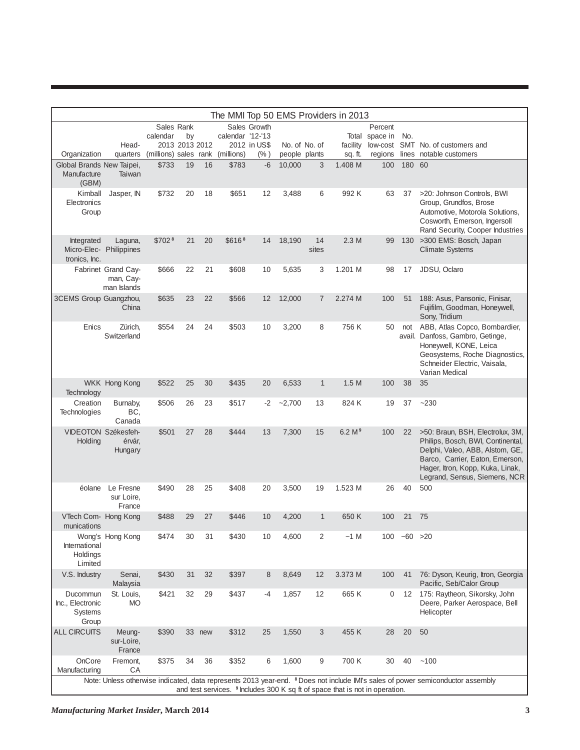| The MMI Top 50 EMS Providers in 2013                   |                                                 |                    |                |        |                                  |              |               |                |                                                                                         |                |                |                                                                                                                                                                                                                  |
|--------------------------------------------------------|-------------------------------------------------|--------------------|----------------|--------|----------------------------------|--------------|---------------|----------------|-----------------------------------------------------------------------------------------|----------------|----------------|------------------------------------------------------------------------------------------------------------------------------------------------------------------------------------------------------------------|
|                                                        |                                                 | Sales Rank         |                |        |                                  | Sales Growth |               |                |                                                                                         | Percent        |                |                                                                                                                                                                                                                  |
|                                                        |                                                 | calendar           | by             |        | calendar '12-'13                 |              |               |                |                                                                                         | Total space in | No.            |                                                                                                                                                                                                                  |
|                                                        | Head-                                           |                    | 2013 2013 2012 |        |                                  | 2012 in US\$ |               | No. of No. of  | facility                                                                                |                |                | low-cost SMT No. of customers and                                                                                                                                                                                |
| Organization                                           | quarters                                        |                    |                |        | (millions) sales rank (millions) | (% )         | people plants |                | sq. ft.                                                                                 | regions        |                | lines notable customers                                                                                                                                                                                          |
| Global Brands New Taipei,<br>Manufacture<br>(GBM)      | Taiwan                                          | \$733              | 19             | 16     | \$783                            | $-6$         | 10,000        | 3              | 1.408 M                                                                                 | 100            | 180 60         |                                                                                                                                                                                                                  |
| Kimball<br>Electronics<br>Group                        | Jasper, IN                                      | \$732              | 20             | 18     | \$651                            | 12           | 3,488         | 6              | 992 K                                                                                   | 63             | 37             | >20: Johnson Controls, BWI<br>Group, Grundfos, Brose<br>Automotive, Motorola Solutions,<br>Cosworth, Emerson, Ingersoll<br>Rand Security, Cooper Industries                                                      |
| Integrated<br>Micro-Elec- Philippines<br>tronics, Inc. | Laguna,                                         | \$702 <sup>8</sup> | 21             | 20     | \$616 <sup>8</sup>               | 14           | 18,190        | 14<br>sites    | 2.3M                                                                                    | 99             | 130            | >300 EMS: Bosch, Japan<br><b>Climate Systems</b>                                                                                                                                                                 |
|                                                        | Fabrinet Grand Cay-<br>man, Cay-<br>man Islands | \$666              | 22             | 21     | \$608                            | 10           | 5,635         | 3              | 1.201 M                                                                                 | 98             | 17             | JDSU, Oclaro                                                                                                                                                                                                     |
| 3CEMS Group Guangzhou,                                 | China                                           | \$635              | 23             | 22     | \$566                            | 12           | 12,000        | $\overline{7}$ | 2.274 M                                                                                 | 100            | 51             | 188: Asus, Pansonic, Finisar,<br>Fujifilm, Goodman, Honeywell,<br>Sony, Tridium                                                                                                                                  |
| Enics                                                  | Zürich,<br>Switzerland                          | \$554              | 24             | 24     | \$503                            | 10           | 3,200         | 8              | 756 K                                                                                   | 50             | not            | ABB, Atlas Copco, Bombardier,<br>avail. Danfoss, Gambro, Getinge,<br>Honeywell, KONE, Leica<br>Geosystems, Roche Diagnostics,<br>Schneider Electric, Vaisala,<br>Varian Medical                                  |
| Technology                                             | WKK Hong Kong                                   | \$522              | 25             | 30     | \$435                            | 20           | 6,533         | $\mathbf{1}$   | 1.5M                                                                                    | 100            | 38             | 35                                                                                                                                                                                                               |
| Creation<br>Technologies                               | Burnaby,<br>BC.<br>Canada                       | \$506              | 26             | 23     | \$517                            | -2           | $-2,700$      | 13             | 824 K                                                                                   | 19             | 37             | $-230$                                                                                                                                                                                                           |
| VIDEOTON Székesfeh-<br>Holding                         | érvár,<br>Hungary                               | \$501              | 27             | 28     | \$444                            | 13           | 7,300         | 15             | 6.2 M <sup>9</sup>                                                                      | 100            | 22             | >50: Braun, BSH, Electrolux, 3M,<br>Philips, Bosch, BWI, Continental,<br>Delphi, Valeo, ABB, Alstom, GE,<br>Barco, Carrier, Eaton, Emerson,<br>Hager, Itron, Kopp, Kuka, Linak,<br>Legrand, Sensus, Siemens, NCR |
| éolane                                                 | Le Fresne<br>sur Loire,<br>France               | \$490              | 28             | 25     | \$408                            | 20           | 3,500         | 19             | 1.523 M                                                                                 | 26             | 40             | 500                                                                                                                                                                                                              |
| VTech Com- Hong Kong<br>munications                    |                                                 | \$488              | 29             | 27     | \$446                            | 10           | 4,200         | $\mathbf{1}$   | 650K                                                                                    | 100            | 21             | 75                                                                                                                                                                                                               |
| International<br>Holdings<br>Limited                   | Wong's Hong Kong                                | \$474              | 30             | 31     | \$430                            | 10           | 4,600         | 2              | ~1 M                                                                                    |                | $100 -60 > 20$ |                                                                                                                                                                                                                  |
| V.S. Industry                                          | Senai,<br>Malaysia                              | \$430              | 31             | 32     | \$397                            | 8            | 8,649         | 12             | 3.373 M                                                                                 | 100            | 41             | 76: Dyson, Keurig, Itron, Georgia<br>Pacific, Seb/Calor Group                                                                                                                                                    |
| Ducommun<br>Inc., Electronic<br>Systems<br>Group       | St. Louis,<br>МO                                | \$421              | 32             | 29     | \$437                            | -4           | 1,857         | 12             | 665K                                                                                    | 0              | 12             | 175: Raytheon, Sikorsky, John<br>Deere, Parker Aerospace, Bell<br>Helicopter                                                                                                                                     |
| <b>ALL CIRCUITS</b>                                    | Meung-<br>sur-Loire,<br>France                  | \$390              |                | 33 new | \$312                            | 25           | 1,550         | 3              | 455 K                                                                                   | 28             | 20             | 50                                                                                                                                                                                                               |
| OnCore<br>Manufacturing                                | Fremont,<br>CA                                  | \$375              | 34             | 36     | \$352                            | 6            | 1,600         | 9              | 700 K                                                                                   | 30             | 40             | ~100                                                                                                                                                                                                             |
|                                                        |                                                 |                    |                |        |                                  |              |               |                | and test services. <sup>9</sup> Includes 300 K sq ft of space that is not in operation. |                |                | Note: Unless otherwise indicated, data represents 2013 year-end. <sup>8</sup> Does not include IMI's sales of power semiconductor assembly                                                                       |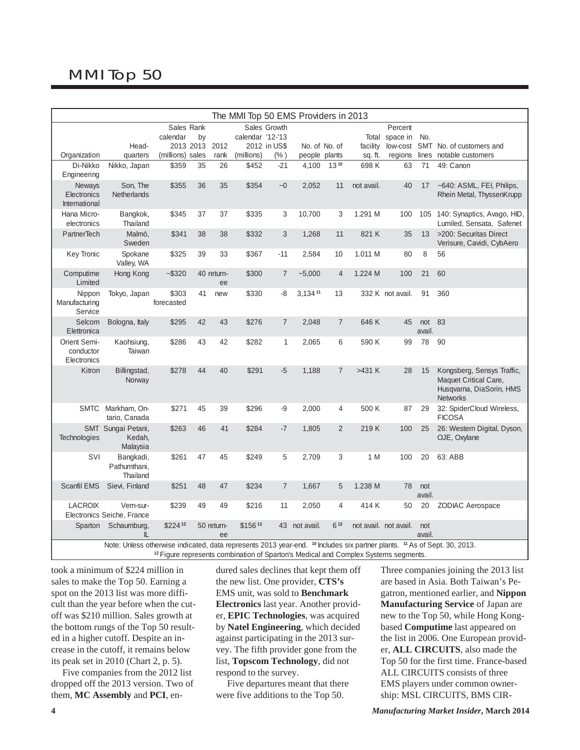# MMI Top 50

| The MMI Top 50 EMS Providers in 2013     |                                                                                                                                                                                                                                                   |                     |           |                  |                  |                |               |                |            |                       |               |                                                                                                    |
|------------------------------------------|---------------------------------------------------------------------------------------------------------------------------------------------------------------------------------------------------------------------------------------------------|---------------------|-----------|------------------|------------------|----------------|---------------|----------------|------------|-----------------------|---------------|----------------------------------------------------------------------------------------------------|
|                                          |                                                                                                                                                                                                                                                   | Sales Rank          |           |                  |                  | Sales Growth   |               |                |            | Percent               |               |                                                                                                    |
|                                          |                                                                                                                                                                                                                                                   | calendar            | by        |                  | calendar '12-'13 |                |               |                | Total      | space in              | No.           |                                                                                                    |
|                                          | Head-                                                                                                                                                                                                                                             |                     | 2013 2013 | 2012             |                  | 2012 in US\$   |               | No. of No. of  | facility   | low-cost              | <b>SMT</b>    | No. of customers and                                                                               |
| Organization                             | quarters                                                                                                                                                                                                                                          | (millions) sales    |           | rank             | (millions)       | $(\% )$        | people plants |                | sq. ft.    | regions               | lines         | notable customers                                                                                  |
| Di-Nikko                                 | Nikko, Japan                                                                                                                                                                                                                                      | \$359               | 35        | 26               | \$452            | $-21$          | 4,100         | $13^{10}$      | 698 K      | 63                    | 71            | 49: Canon                                                                                          |
| Engineering                              |                                                                                                                                                                                                                                                   |                     |           |                  |                  |                |               |                |            |                       |               |                                                                                                    |
| Neways<br>Electronics<br>International   | Son, The<br><b>Netherlands</b>                                                                                                                                                                                                                    | \$355               | 36        | 35               | \$354            | $-0$           | 2,052         | 11             | not avail. | 40                    | 17            | ~640: ASML, FEI, Philips,<br>Rhein Metal, ThyssenKrupp                                             |
| Hana Micro-<br>electronics               | Bangkok,<br>Thailand                                                                                                                                                                                                                              | \$345               | 37        | 37               | \$335            | 3              | 10,700        | 3              | 1.291 M    | 100                   |               | 105 140: Synaptics, Avago, HID,<br>Lumiled, Sensata, Safenet                                       |
| PartnerTech                              | Malmö.<br>Sweden                                                                                                                                                                                                                                  | \$341               | 38        | 38               | \$332            | 3              | 1,268         | 11             | 821 K      | 35                    | 13            | >200: Securitas Direct<br>Verisure, Cavidi, CybAero                                                |
| <b>Key Tronic</b>                        | Spokane<br>Valley, WA                                                                                                                                                                                                                             | \$325               | 39        | 33               | \$367            | $-11$          | 2,584         | 10             | 1.011 M    | 80                    | 8             | 56                                                                                                 |
| Computime<br>Limited                     | Hong Kong                                                                                                                                                                                                                                         | $-$ \$320           |           | 40 return-<br>ee | \$300            | $\overline{7}$ | $-5,000$      | $\overline{4}$ | 1.224 M    | 100                   | 21            | 60                                                                                                 |
| Nippon<br>Manufacturing<br>Service       | Tokyo, Japan                                                                                                                                                                                                                                      | \$303<br>forecasted | 41        | new              | \$330            | -8             | 3,134 11      | 13             |            | 332 K not avail.      | 91            | 360                                                                                                |
| Selcom<br>Elettronica                    | Bologna, Italy                                                                                                                                                                                                                                    | \$295               | 42        | 43               | \$276            | $\overline{7}$ | 2,048         | $\overline{7}$ | 646 K      | 45                    | not<br>avail. | 83                                                                                                 |
| Orient Semi-<br>conductor<br>Electronics | Kaohsiung,<br>Taiwan                                                                                                                                                                                                                              | \$286               | 43        | 42               | \$282            | $\mathbf{1}$   | 2,065         | 6              | 590 K      | 99                    | 78            | 90                                                                                                 |
| Kitron                                   | Billingstad,<br>Norway                                                                                                                                                                                                                            | \$278               | 44        | 40               | \$291            | $-5$           | 1,188         | $\overline{7}$ | >431 K     | 28                    | 15            | Kongsberg, Sensys Traffic,<br>Maquet Critical Care,<br>Husqvarna, DiaSorin, HMS<br><b>Networks</b> |
|                                          | SMTC Markham, On-<br>tario, Canada                                                                                                                                                                                                                | \$271               | 45        | 39               | \$296            | -9             | 2,000         | $\overline{4}$ | 500 K      | 87                    | 29            | 32: SpiderCloud Wireless,<br><b>FICOSA</b>                                                         |
| Technologies                             | SMT Sungai Petani,<br>Kedah,<br>Malaysia                                                                                                                                                                                                          | \$263               | 46        | 41               | \$284            | $-7$           | 1,805         | $\overline{2}$ | 219K       | 100                   | 25            | 26: Western Digital, Dyson,<br>OJE, Oxylane                                                        |
| SVI                                      | Bangkadi,<br>Pathumthani.<br>Thailand                                                                                                                                                                                                             | \$261               | 47        | 45               | \$249            | 5              | 2,709         | 3              | 1 M        | 100                   | 20            | 63: ABB                                                                                            |
| Scanfil EMS                              | Sievi, Finland                                                                                                                                                                                                                                    | \$251               | 48        | 47               | \$234            | $\overline{7}$ | 1,667         | 5              | 1.238 M    | 78                    | not<br>avail. |                                                                                                    |
| <b>LACROIX</b>                           | Vern-sur-<br>Electronics Seiche, France                                                                                                                                                                                                           | \$239               | 49        | 49               | \$216            | 11             | 2,050         | 4              | 414 K      | 50                    | 20            | <b>ZODIAC Aerospace</b>                                                                            |
|                                          | Sparton Schaumburg,<br>IL                                                                                                                                                                                                                         | \$22412             |           | 50 return-<br>ee | \$15612          |                | 43 not avail. | 612            |            | not avail. not avail. | not<br>avail. |                                                                                                    |
|                                          | Note: Unless otherwise indicated, data represents 2013 year-end. <sup>10</sup> Includes six partner plants. <sup>11</sup> As of Sept. 30, 2013.<br><sup>12</sup> Figure represents combination of Sparton's Medical and Complex Systems segments. |                     |           |                  |                  |                |               |                |            |                       |               |                                                                                                    |

took a minimum of \$224 million in sales to make the Top 50. Earning a spot on the 2013 list was more difficult than the year before when the cutoff was \$210 million. Sales growth at the bottom rungs of the Top 50 resulted in a higher cutoff. Despite an increase in the cutoff, it remains below its peak set in 2010 (Chart 2, p. 5).

 Five companies from the 2012 list dropped off the 2013 version. Two of them, **MC Assembly** and **PCI**, en-

dured sales declines that kept them off the new list. One provider, **CTS's** EMS unit, was sold to **Benchmark Electronics** last year. Another provider, **EPIC Technologies**, was acquired by **Natel Engineering**, which decided against participating in the 2013 survey. The fifth provider gone from the list, **Topscom Technology**, did not respond to the survey.

 Five departures meant that there were five additions to the Top 50.

Three companies joining the 2013 list are based in Asia. Both Taiwan's Pegatron, mentioned earlier, and **Nippon Manufacturing Service** of Japan are new to the Top 50, while Hong Kongbased **Computime** last appeared on the list in 2006. One European provider, **ALL CIRCUITS**, also made the Top 50 for the first time. France-based ALL CIRCUITS consists of three EMS players under common ownership: MSL CIRCUITS, BMS CIR-

**4** *Manufacturing Market Insider***, March 2014**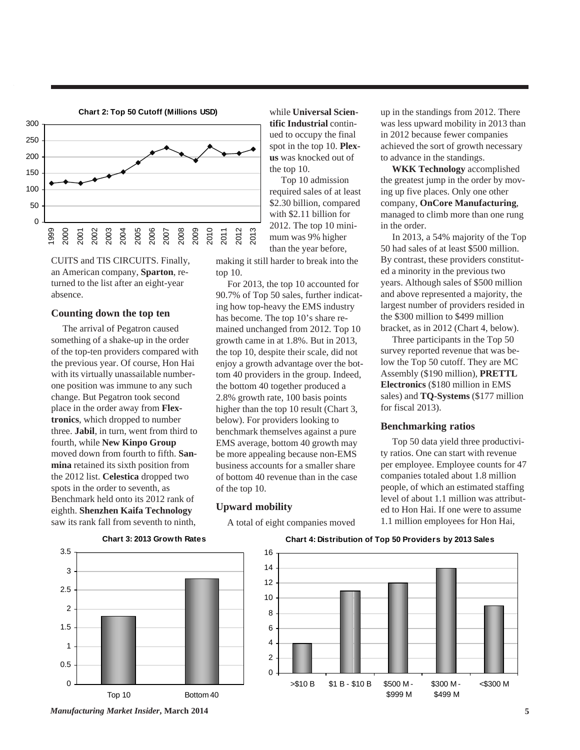

CUITS and TIS CIRCUITS. Finally, an American company, **Sparton**, returned to the list after an eight-year absence.

#### **Counting down the top ten**

 The arrival of Pegatron caused something of a shake-up in the order of the top-ten providers compared with the previous year. Of course, Hon Hai with its virtually unassailable numberone position was immune to any such change. But Pegatron took second place in the order away from **Flextronics**, which dropped to number three. **Jabil**, in turn, went from third to fourth, while **New Kinpo Group** moved down from fourth to fifth. **Sanmina** retained its sixth position from the 2012 list. **Celestica** dropped two spots in the order to seventh, as Benchmark held onto its 2012 rank of eighth. **Shenzhen Kaifa Technology** saw its rank fall from seventh to ninth,

while **Universal Scientific Industrial** continued to occupy the final spot in the top 10. **Plexus** was knocked out of the top 10.

 Top 10 admission required sales of at least \$2.30 billion, compared with \$2.11 billion for 2012. The top 10 minimum was 9% higher than the year before,

making it still harder to break into the top 10.

 For 2013, the top 10 accounted for 90.7% of Top 50 sales, further indicating how top-heavy the EMS industry has become. The top 10's share remained unchanged from 2012. Top 10 growth came in at 1.8%. But in 2013, the top 10, despite their scale, did not enjoy a growth advantage over the bottom 40 providers in the group. Indeed, the bottom 40 together produced a 2.8% growth rate, 100 basis points higher than the top 10 result (Chart 3, below). For providers looking to benchmark themselves against a pure EMS average, bottom 40 growth may be more appealing because non-EMS business accounts for a smaller share of bottom 40 revenue than in the case of the top 10.

#### **Upward mobility**

A total of eight companies moved

up in the standings from 2012. There was less upward mobility in 2013 than in 2012 because fewer companies achieved the sort of growth necessary to advance in the standings.

 **WKK Technology** accomplished the greatest jump in the order by moving up five places. Only one other company, **OnCore Manufacturing**, managed to climb more than one rung in the order.

 In 2013, a 54% majority of the Top 50 had sales of at least \$500 million. By contrast, these providers constituted a minority in the previous two years. Although sales of \$500 million and above represented a majority, the largest number of providers resided in the \$300 million to \$499 million bracket, as in 2012 (Chart 4, below).

 Three participants in the Top 50 survey reported revenue that was below the Top 50 cutoff. They are MC Assembly (\$190 million), **PRETTL Electronics** (\$180 million in EMS sales) and **TQ-Systems** (\$177 million for fiscal 2013).

#### **Benchmarking ratios**

 Top 50 data yield three productivity ratios. One can start with revenue per employee. Employee counts for 47 companies totaled about 1.8 million people, of which an estimated staffing level of about 1.1 million was attributed to Hon Hai. If one were to assume 1.1 million employees for Hon Hai,



#### **Chart 3: 2013 Growth Rates**

#### **Chart 4: Distribution of Top 50 Providers by 2013 Sales**



*Manufacturing Market Insider***, March 2014 5**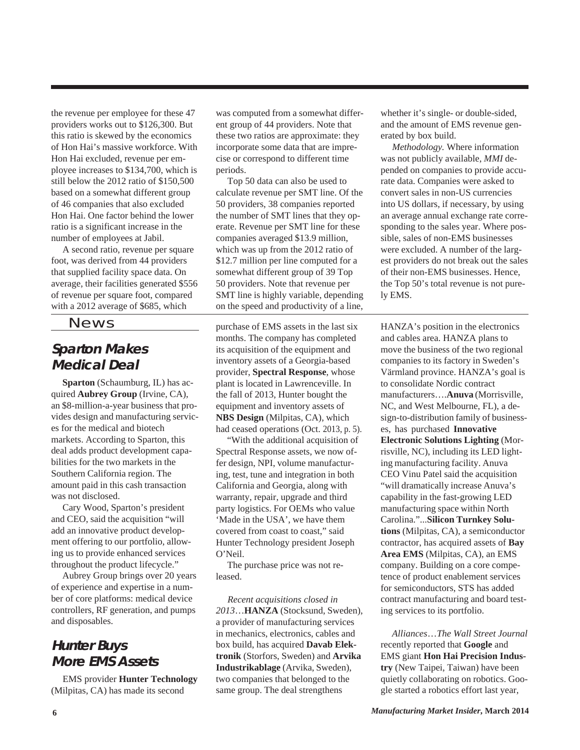the revenue per employee for these 47 providers works out to \$126,300. But this ratio is skewed by the economics of Hon Hai's massive workforce. With Hon Hai excluded, revenue per employee increases to \$134,700, which is still below the 2012 ratio of \$150,500 based on a somewhat different group of 46 companies that also excluded Hon Hai. One factor behind the lower ratio is a significant increase in the number of employees at Jabil.

 A second ratio, revenue per square foot, was derived from 44 providers that supplied facility space data. On average, their facilities generated \$556 of revenue per square foot, compared with a 2012 average of \$685, which

News

## **Sparton Makes Medical Deal**

 **Sparton** (Schaumburg, IL) has acquired **Aubrey Group** (Irvine, CA), an \$8-million-a-year business that provides design and manufacturing services for the medical and biotech markets. According to Sparton, this deal adds product development capabilities for the two markets in the Southern California region. The amount paid in this cash transaction was not disclosed.

 Cary Wood, Sparton's president and CEO, said the acquisition "will add an innovative product development offering to our portfolio, allowing us to provide enhanced services throughout the product lifecycle."

 Aubrey Group brings over 20 years of experience and expertise in a number of core platforms: medical device controllers, RF generation, and pumps and disposables.

## **Hunter Buys More EMS Assets**

 EMS provider **Hunter Technology** (Milpitas, CA) has made its second

was computed from a somewhat different group of 44 providers. Note that these two ratios are approximate: they incorporate some data that are imprecise or correspond to different time periods.

 Top 50 data can also be used to calculate revenue per SMT line. Of the 50 providers, 38 companies reported the number of SMT lines that they operate. Revenue per SMT line for these companies averaged \$13.9 million, which was up from the 2012 ratio of \$12.7 million per line computed for a somewhat different group of 39 Top 50 providers. Note that revenue per SMT line is highly variable, depending on the speed and productivity of a line,

purchase of EMS assets in the last six months. The company has completed its acquisition of the equipment and inventory assets of a Georgia-based provider, **Spectral Response**, whose plant is located in Lawrenceville. In the fall of 2013, Hunter bought the equipment and inventory assets of **NBS Design** (Milpitas, CA), which had ceased operations (Oct. 2013, p. 5).

 "With the additional acquisition of Spectral Response assets, we now offer design, NPI, volume manufacturing, test, tune and integration in both California and Georgia, along with warranty, repair, upgrade and third party logistics. For OEMs who value 'Made in the USA', we have them covered from coast to coast," said Hunter Technology president Joseph O'Neil.

 The purchase price was not released.

 *Recent acquisitions closed in 2013*…**HANZA** (Stocksund, Sweden), a provider of manufacturing services in mechanics, electronics, cables and box build, has acquired **Davab Elektronik** (Storfors, Sweden) and **Arvika Industrikablage** (Arvika, Sweden), two companies that belonged to the same group. The deal strengthens

whether it's single- or double-sided, and the amount of EMS revenue generated by box build.

 *Methodology.* Where information was not publicly available, *MMI* depended on companies to provide accurate data. Companies were asked to convert sales in non-US currencies into US dollars, if necessary, by using an average annual exchange rate corresponding to the sales year. Where possible, sales of non-EMS businesses were excluded. A number of the largest providers do not break out the sales of their non-EMS businesses. Hence, the Top 50's total revenue is not purely EMS.

HANZA's position in the electronics and cables area. HANZA plans to move the business of the two regional companies to its factory in Sweden's Värmland province. HANZA's goal is to consolidate Nordic contract manufacturers….**Anuva** (Morrisville, NC, and West Melbourne, FL), a design-to-distribution family of businesses, has purchased **Innovative Electronic Solutions Lighting** (Morrisville, NC), including its LED lighting manufacturing facility. Anuva CEO Vinu Patel said the acquisition "will dramatically increase Anuva's capability in the fast-growing LED manufacturing space within North Carolina."...**Silicon Turnkey Solutions** (Milpitas, CA), a semiconductor contractor, has acquired assets of **Bay Area EMS** (Milpitas, CA), an EMS company. Building on a core competence of product enablement services for semiconductors, STS has added contract manufacturing and board testing services to its portfolio.

 *Alliances*…*The Wall Street Journal* recently reported that **Google** and EMS giant **Hon Hai Precision Industry** (New Taipei, Taiwan) have been quietly collaborating on robotics. Google started a robotics effort last year,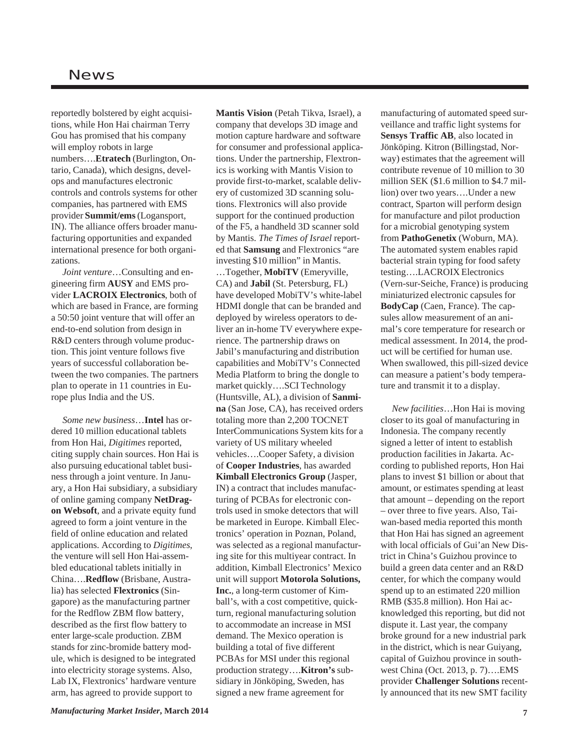reportedly bolstered by eight acquisitions, while Hon Hai chairman Terry Gou has promised that his company will employ robots in large numbers….**Etratech** (Burlington, Ontario, Canada), which designs, develops and manufactures electronic controls and controls systems for other companies, has partnered with EMS provider **Summit/ems** (Logansport, IN). The alliance offers broader manufacturing opportunities and expanded international presence for both organizations.

 *Joint venture*…Consulting and engineering firm **AUSY** and EMS provider **LACROIX Electronics**, both of which are based in France, are forming a 50:50 joint venture that will offer an end-to-end solution from design in R&D centers through volume production. This joint venture follows five years of successful collaboration between the two companies. The partners plan to operate in 11 countries in Europe plus India and the US.

 *Some new business*…**Intel** has ordered 10 million educational tablets from Hon Hai, *Digitimes* reported, citing supply chain sources. Hon Hai is also pursuing educational tablet business through a joint venture. In January, a Hon Hai subsidiary, a subsidiary of online gaming company **NetDragon Websoft**, and a private equity fund agreed to form a joint venture in the field of online education and related applications. According to *Digitimes*, the venture will sell Hon Hai-assembled educational tablets initially in China….**Redflow** (Brisbane, Australia) has selected **Flextronics** (Singapore) as the manufacturing partner for the Redflow ZBM flow battery, described as the first flow battery to enter large-scale production. ZBM stands for zinc-bromide battery module, which is designed to be integrated into electricity storage systems. Also, Lab IX, Flextronics' hardware venture arm, has agreed to provide support to

**Mantis Vision** (Petah Tikva, Israel), a company that develops 3D image and motion capture hardware and software for consumer and professional applications. Under the partnership, Flextronics is working with Mantis Vision to provide first-to-market, scalable delivery of customized 3D scanning solutions. Flextronics will also provide support for the continued production of the F5, a handheld 3D scanner sold by Mantis. *The Times of Israel* reported that **Samsung** and Flextronics "are investing \$10 million" in Mantis.

…Together, **MobiTV** (Emeryville, CA) and **Jabil** (St. Petersburg, FL) have developed MobiTV's white-label HDMI dongle that can be branded and deployed by wireless operators to deliver an in-home TV everywhere experience. The partnership draws on Jabil's manufacturing and distribution capabilities and MobiTV's Connected Media Platform to bring the dongle to market quickly….SCI Technology (Huntsville, AL), a division of **Sanmina** (San Jose, CA), has received orders totaling more than 2,200 TOCNET InterCommunications System kits for a variety of US military wheeled vehicles….Cooper Safety, a division of **Cooper Industries**, has awarded **Kimball Electronics Group** (Jasper, IN) a contract that includes manufacturing of PCBAs for electronic controls used in smoke detectors that will be marketed in Europe. Kimball Electronics' operation in Poznan, Poland, was selected as a regional manufacturing site for this multiyear contract. In addition, Kimball Electronics' Mexico unit will support **Motorola Solutions, Inc.**, a long-term customer of Kimball's, with a cost competitive, quickturn, regional manufacturing solution to accommodate an increase in MSI demand. The Mexico operation is building a total of five different PCBAs for MSI under this regional production strategy….**Kitron's** subsidiary in Jönköping, Sweden, has signed a new frame agreement for

manufacturing of automated speed surveillance and traffic light systems for **Sensys Traffic AB**, also located in Jönköping. Kitron (Billingstad, Norway) estimates that the agreement will contribute revenue of 10 million to 30 million SEK (\$1.6 million to \$4.7 million) over two years….Under a new contract, Sparton will perform design for manufacture and pilot production for a microbial genotyping system from **PathoGenetix** (Woburn, MA). The automated system enables rapid bacterial strain typing for food safety testing….LACROIX Electronics (Vern-sur-Seiche, France) is producing miniaturized electronic capsules for **BodyCap** (Caen, France). The capsules allow measurement of an animal's core temperature for research or medical assessment. In 2014, the product will be certified for human use. When swallowed, this pill-sized device can measure a patient's body temperature and transmit it to a display.

 *New facilities*…Hon Hai is moving closer to its goal of manufacturing in Indonesia. The company recently signed a letter of intent to establish production facilities in Jakarta. According to published reports, Hon Hai plans to invest \$1 billion or about that amount, or estimates spending at least that amount – depending on the report – over three to five years. Also, Taiwan-based media reported this month that Hon Hai has signed an agreement with local officials of Gui'an New District in China's Guizhou province to build a green data center and an R&D center, for which the company would spend up to an estimated 220 million RMB (\$35.8 million). Hon Hai acknowledged this reporting, but did not dispute it. Last year, the company broke ground for a new industrial park in the district, which is near Guiyang, capital of Guizhou province in southwest China (Oct. 2013, p. 7)….EMS provider **Challenger Solutions** recently announced that its new SMT facility